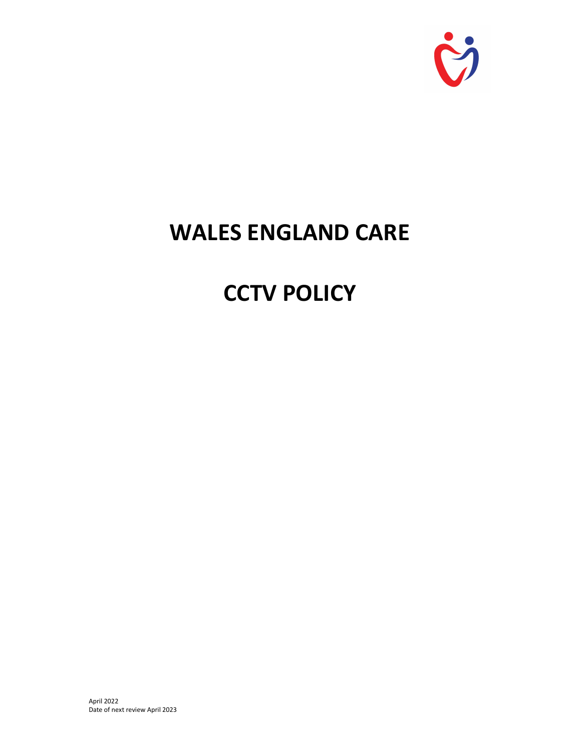

# WALES ENGLAND CARE

# **CCTV POLICY**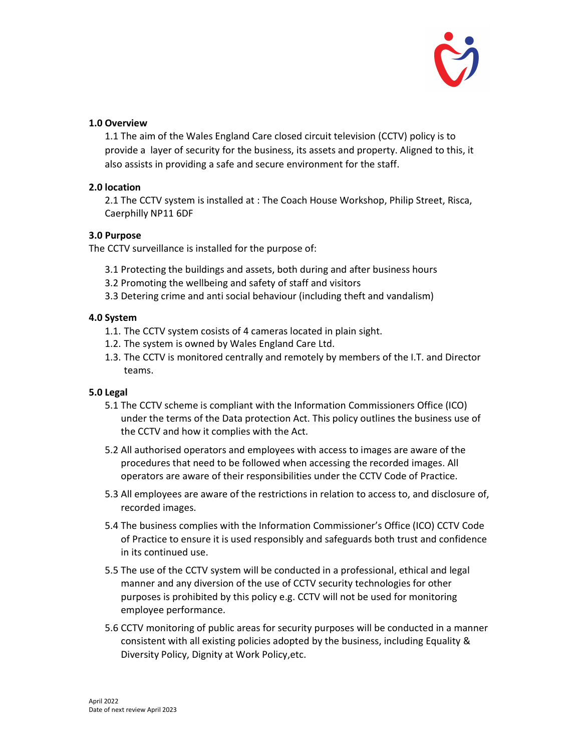

# 1.0 Overview

1.1 The aim of the Wales England Care closed circuit television (CCTV) policy is to provide a layer of security for the business, its assets and property. Aligned to this, it also assists in providing a safe and secure environment for the staff.

# 2.0 location

2.1 The CCTV system is installed at : The Coach House Workshop, Philip Street, Risca, Caerphilly NP11 6DF

#### 3.0 Purpose

The CCTV surveillance is installed for the purpose of:

- 3.1 Protecting the buildings and assets, both during and after business hours
- 3.2 Promoting the wellbeing and safety of staff and visitors
- 3.3 Detering crime and anti social behaviour (including theft and vandalism)

# 4.0 System

- 1.1. The CCTV system cosists of 4 cameras located in plain sight.
- 1.2. The system is owned by Wales England Care Ltd.
- 1.3. The CCTV is monitored centrally and remotely by members of the I.T. and Director teams.

# 5.0 Legal

- 5.1 The CCTV scheme is compliant with the Information Commissioners Office (ICO) under the terms of the Data protection Act. This policy outlines the business use of the CCTV and how it complies with the Act.
- 5.2 All authorised operators and employees with access to images are aware of the procedures that need to be followed when accessing the recorded images. All operators are aware of their responsibilities under the CCTV Code of Practice.
- 5.3 All employees are aware of the restrictions in relation to access to, and disclosure of, recorded images.
- 5.4 The business complies with the Information Commissioner's Office (ICO) CCTV Code of Practice to ensure it is used responsibly and safeguards both trust and confidence in its continued use.
- 5.5 The use of the CCTV system will be conducted in a professional, ethical and legal manner and any diversion of the use of CCTV security technologies for other purposes is prohibited by this policy e.g. CCTV will not be used for monitoring employee performance.
- 5.6 CCTV monitoring of public areas for security purposes will be conducted in a manner consistent with all existing policies adopted by the business, including Equality & Diversity Policy, Dignity at Work Policy,etc.